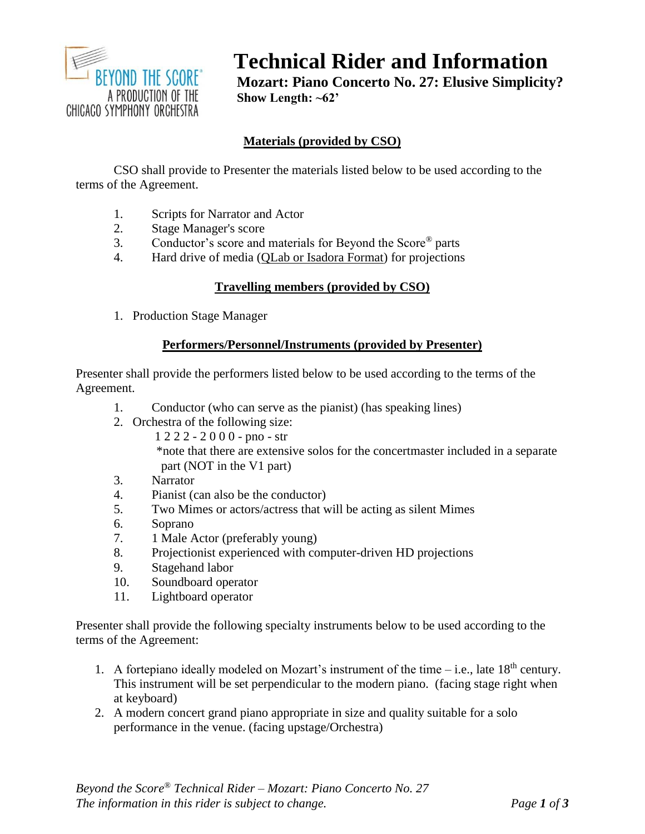

# **Technical Rider and Information**

**Mozart: Piano Concerto No. 27: Elusive Simplicity? Show Length: ~62'**

# **Materials (provided by CSO)**

CSO shall provide to Presenter the materials listed below to be used according to the terms of the Agreement.

- 1. Scripts for Narrator and Actor
- 2. Stage Manager's score
- 3. Conductor's score and materials for Beyond the Score® parts
- 4. Hard drive of media (QLab or Isadora Format) for projections

# **Travelling members (provided by CSO)**

1. Production Stage Manager

### **Performers/Personnel/Instruments (provided by Presenter)**

Presenter shall provide the performers listed below to be used according to the terms of the Agreement.

- 1. Conductor (who can serve as the pianist) (has speaking lines)
- 2. Orchestra of the following size:
	- 1 2 2 2 2 0 0 0 pno str \*note that there are extensive solos for the concertmaster included in a separate part (NOT in the V1 part)
- 3. Narrator
- 4. Pianist (can also be the conductor)
- 5. Two Mimes or actors/actress that will be acting as silent Mimes
- 6. Soprano
- 7. 1 Male Actor (preferably young)
- 8. Projectionist experienced with computer-driven HD projections
- 9. Stagehand labor
- 10. Soundboard operator
- 11. Lightboard operator

Presenter shall provide the following specialty instruments below to be used according to the terms of the Agreement:

- 1. A fortepiano ideally modeled on Mozart's instrument of the time i.e., late  $18<sup>th</sup>$  century. This instrument will be set perpendicular to the modern piano. (facing stage right when at keyboard)
- 2. A modern concert grand piano appropriate in size and quality suitable for a solo performance in the venue. (facing upstage/Orchestra)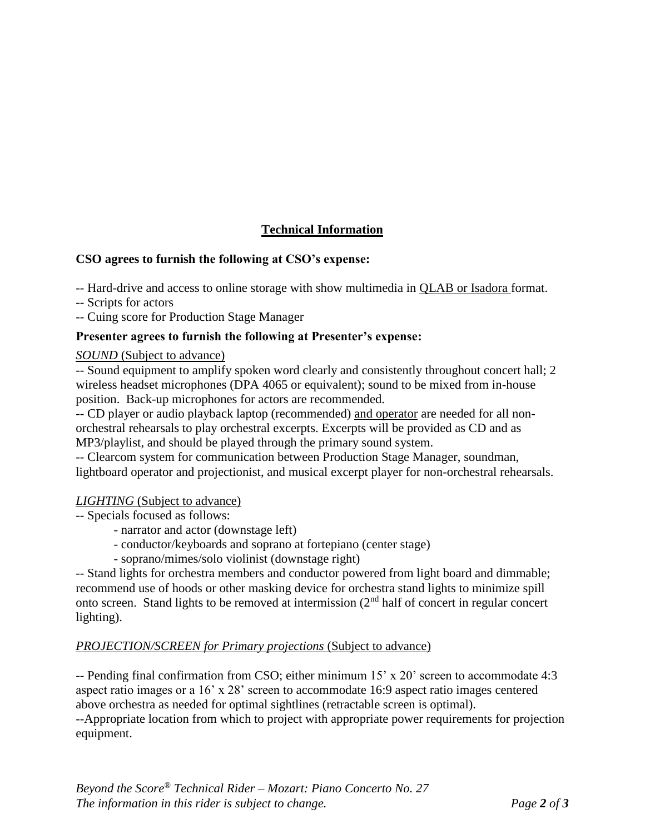# **Technical Information**

## **CSO agrees to furnish the following at CSO's expense:**

-- Hard-drive and access to online storage with show multimedia in QLAB or Isadora format.

-- Scripts for actors

-- Cuing score for Production Stage Manager

### **Presenter agrees to furnish the following at Presenter's expense:**

#### *SOUND* (Subject to advance)

-- Sound equipment to amplify spoken word clearly and consistently throughout concert hall; 2 wireless headset microphones (DPA 4065 or equivalent); sound to be mixed from in-house position. Back-up microphones for actors are recommended.

-- CD player or audio playback laptop (recommended) and operator are needed for all nonorchestral rehearsals to play orchestral excerpts. Excerpts will be provided as CD and as MP3/playlist, and should be played through the primary sound system.

-- Clearcom system for communication between Production Stage Manager, soundman, lightboard operator and projectionist, and musical excerpt player for non-orchestral rehearsals.

#### *LIGHTING* (Subject to advance)

- -- Specials focused as follows:
	- narrator and actor (downstage left)
	- conductor/keyboards and soprano at fortepiano (center stage)
	- soprano/mimes/solo violinist (downstage right)

-- Stand lights for orchestra members and conductor powered from light board and dimmable; recommend use of hoods or other masking device for orchestra stand lights to minimize spill onto screen. Stand lights to be removed at intermission (2nd half of concert in regular concert lighting).

## *PROJECTION/SCREEN for Primary projections* (Subject to advance)

-- Pending final confirmation from CSO; either minimum 15' x 20' screen to accommodate 4:3 aspect ratio images or a 16' x 28' screen to accommodate 16:9 aspect ratio images centered above orchestra as needed for optimal sightlines (retractable screen is optimal).

--Appropriate location from which to project with appropriate power requirements for projection equipment.